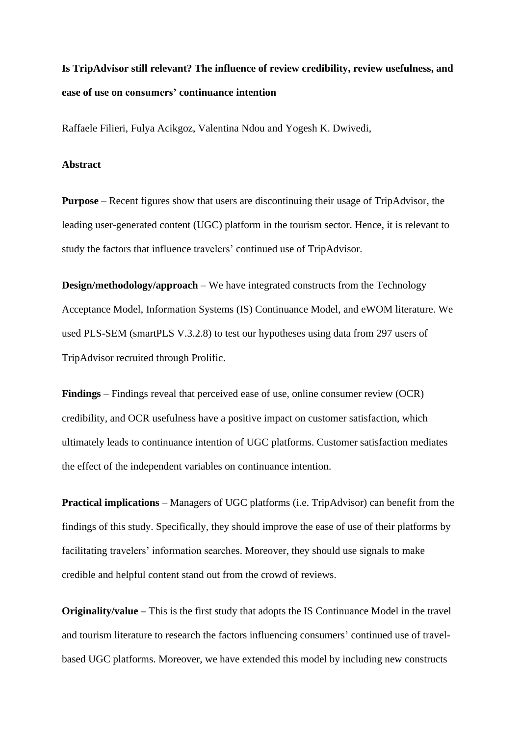# **Is TripAdvisor still relevant? The influence of review credibility, review usefulness, and ease of use on consumers' continuance intention**

Raffaele Filieri, Fulya Acikgoz, Valentina Ndou and Yogesh K. Dwivedi,

### **Abstract**

**Purpose** – Recent figures show that users are discontinuing their usage of TripAdvisor, the leading user-generated content (UGC) platform in the tourism sector. Hence, it is relevant to study the factors that influence travelers' continued use of TripAdvisor.

**Design/methodology/approach** – We have integrated constructs from the Technology Acceptance Model, Information Systems (IS) Continuance Model, and eWOM literature. We used PLS-SEM (smartPLS V.3.2.8) to test our hypotheses using data from 297 users of TripAdvisor recruited through Prolific.

**Findings** – Findings reveal that perceived ease of use, online consumer review (OCR) credibility, and OCR usefulness have a positive impact on customer satisfaction, which ultimately leads to continuance intention of UGC platforms. Customer satisfaction mediates the effect of the independent variables on continuance intention.

**Practical implications** – Managers of UGC platforms (i.e. TripAdvisor) can benefit from the findings of this study. Specifically, they should improve the ease of use of their platforms by facilitating travelers' information searches. Moreover, they should use signals to make credible and helpful content stand out from the crowd of reviews.

**Originality/value –** This is the first study that adopts the IS Continuance Model in the travel and tourism literature to research the factors influencing consumers' continued use of travelbased UGC platforms. Moreover, we have extended this model by including new constructs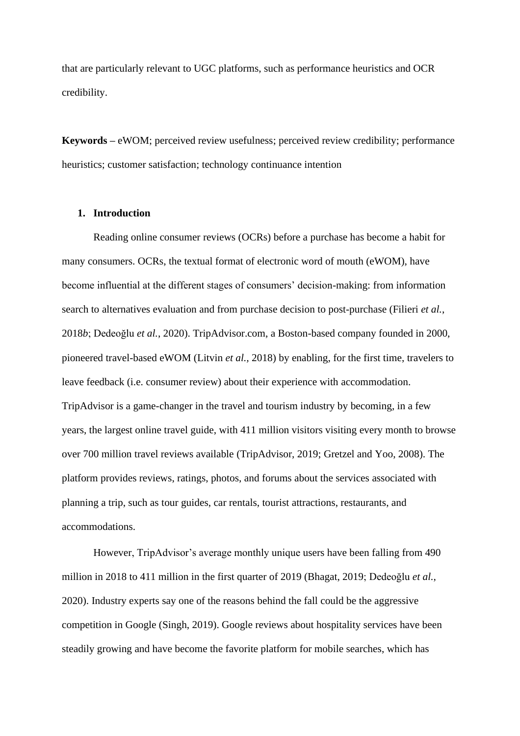that are particularly relevant to UGC platforms, such as performance heuristics and OCR credibility.

**Keywords –** eWOM; perceived review usefulness; perceived review credibility; performance heuristics; customer satisfaction; technology continuance intention

## **1. Introduction**

Reading online consumer reviews (OCRs) before a purchase has become a habit for many consumers. OCRs, the textual format of electronic word of mouth (eWOM), have become influential at the different stages of consumers' decision-making: from information search to alternatives evaluation and from purchase decision to post-purchase (Filieri *et al.*, 2018*b*; Dedeoğlu *et al.*, 2020). TripAdvisor.com, a Boston-based company founded in 2000, pioneered travel-based eWOM (Litvin *et al.,* 2018) by enabling, for the first time, travelers to leave feedback (i.e. consumer review) about their experience with accommodation. TripAdvisor is a game-changer in the travel and tourism industry by becoming, in a few years, the largest online travel guide, with 411 million visitors visiting every month to browse over 700 million travel reviews available (TripAdvisor, 2019; Gretzel and Yoo, 2008). The platform provides reviews, ratings, photos, and forums about the services associated with planning a trip, such as tour guides, car rentals, tourist attractions, restaurants, and accommodations.

However, TripAdvisor's average monthly unique users have been falling from 490 million in 2018 to 411 million in the first quarter of 2019 (Bhagat, 2019; Dedeoğlu *et al.*, 2020). Industry experts say one of the reasons behind the fall could be the aggressive competition in Google (Singh, 2019). Google reviews about hospitality services have been steadily growing and have become the favorite platform for mobile searches, which has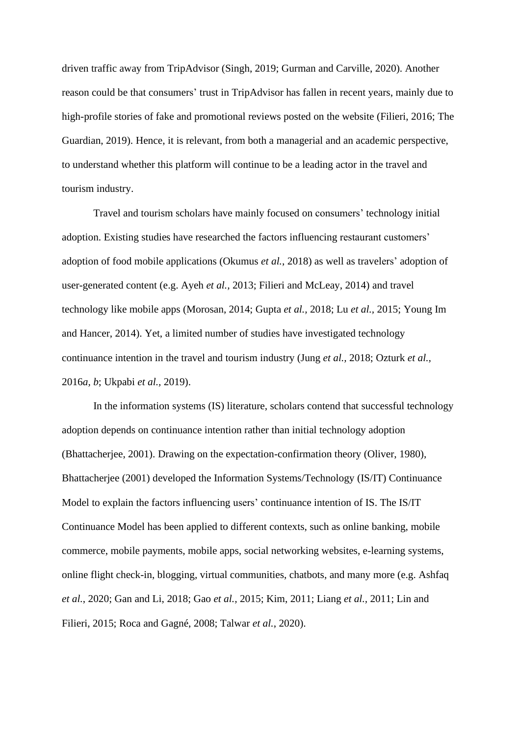driven traffic away from TripAdvisor (Singh, 2019; Gurman and Carville, 2020). Another reason could be that consumers' trust in TripAdvisor has fallen in recent years, mainly due to high-profile stories of fake and promotional reviews posted on the website (Filieri, 2016; The Guardian, 2019). Hence, it is relevant, from both a managerial and an academic perspective, to understand whether this platform will continue to be a leading actor in the travel and tourism industry.

Travel and tourism scholars have mainly focused on consumers' technology initial adoption. Existing studies have researched the factors influencing restaurant customers' adoption of food mobile applications (Okumus *et al.*, 2018) as well as travelers' adoption of user-generated content (e.g. Ayeh *et al.,* 2013; Filieri and McLeay, 2014) and travel technology like mobile apps (Morosan, 2014; Gupta *et al.,* 2018; Lu *et al.,* 2015; Young Im and Hancer, 2014). Yet, a limited number of studies have investigated technology continuance intention in the travel and tourism industry (Jung *et al.,* 2018; Ozturk *et al.,* 2016*a, b*; Ukpabi *et al.,* 2019).

In the information systems (IS) literature, scholars contend that successful technology adoption depends on continuance intention rather than initial technology adoption (Bhattacherjee, 2001). Drawing on the expectation-confirmation theory (Oliver, 1980), Bhattacherjee (2001) developed the Information Systems/Technology (IS/IT) Continuance Model to explain the factors influencing users' continuance intention of IS. The IS/IT Continuance Model has been applied to different contexts, such as online banking, mobile commerce, mobile payments, mobile apps, social networking websites, e-learning systems, online flight check-in, blogging, virtual communities, chatbots, and many more (e.g. Ashfaq *et al.*, 2020; Gan and Li, 2018; Gao *et al.,* 2015; Kim, 2011; Liang *et al.,* 2011; Lin and Filieri, 2015; Roca and Gagné, 2008; Talwar *et al.*, 2020).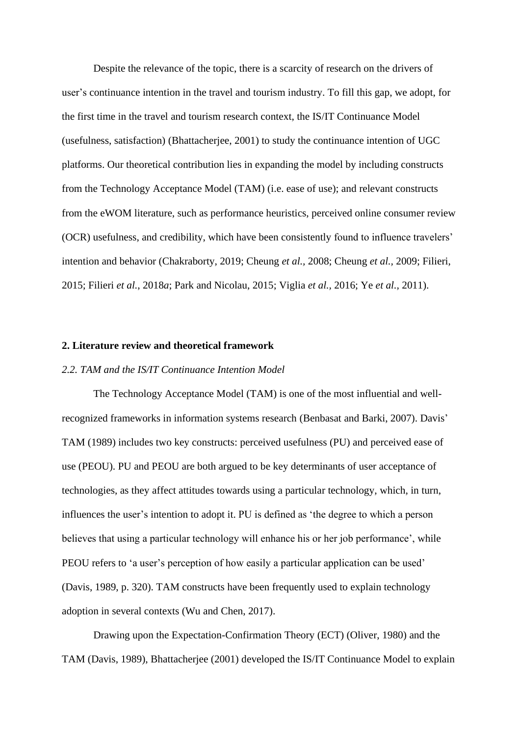Despite the relevance of the topic, there is a scarcity of research on the drivers of user's continuance intention in the travel and tourism industry. To fill this gap, we adopt, for the first time in the travel and tourism research context, the IS/IT Continuance Model (usefulness, satisfaction) (Bhattacherjee, [2001\)](#page-24-0) to study the continuance intention of UGC platforms. Our theoretical contribution lies in expanding the model by including constructs from the Technology Acceptance Model (TAM) (i.e. ease of use); and relevant constructs from the eWOM literature, such as performance heuristics, perceived online consumer review (OCR) usefulness, and credibility, which have been consistently found to influence travelers' intention and behavior (Chakraborty, 2019; Cheung *et al.,* 2008; Cheung *et al.,* 2009; Filieri, 2015; Filieri *et al.*, 2018*a*; Park and Nicolau, 2015; Viglia *et al.,* 2016; Ye *et al.,* 2011).

#### **2. Literature review and theoretical framework**

## *2.2. TAM and the IS/IT Continuance Intention Model*

The Technology Acceptance Model (TAM) is one of the most influential and wellrecognized frameworks in information systems research (Benbasat and Barki, 2007). Davis' TAM (1989) includes two key constructs: perceived usefulness (PU) and perceived ease of use (PEOU). PU and PEOU are both argued to be key determinants of user acceptance of technologies, as they affect attitudes towards using a particular technology, which, in turn, influences the user's intention to adopt it. PU is defined as 'the degree to which a person believes that using a particular technology will enhance his or her job performance', while PEOU refers to 'a user's perception of how easily a particular application can be used' (Davis, 1989, p. 320). TAM constructs have been frequently used to explain technology adoption in several contexts (Wu and Chen, 2017).

Drawing upon the Expectation-Confirmation Theory (ECT) (Oliver, 1980) and the TAM (Davis, 1989), [Bhattacherjee \(2001\)](#page-24-0) developed the IS/IT Continuance Model to explain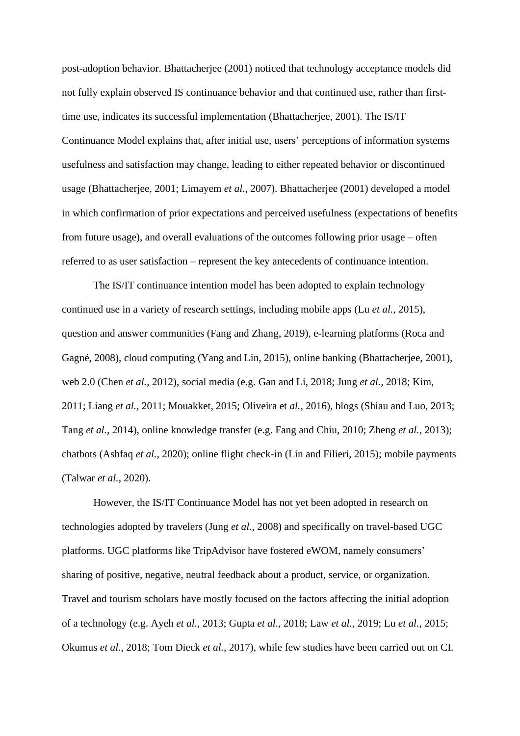post-adoption behavior. [Bhattacherjee \(2001\)](#page-24-0) noticed that technology acceptance models did not fully explain observed IS continuance behavior and that continued use, rather than firsttime use, indicates its successful implementation [\(Bhattacherjee, 2001\)](#page-24-0). The IS/IT Continuance Model explains that, after initial use, users' perceptions of information systems usefulness and satisfaction may change, leading to either repeated behavior or discontinued usage [\(Bhattacherjee, 2001;](#page-24-0) [Limayem](#page-27-0) *et al.*, 2007). [Bhattacherjee \(2001\)](#page-24-0) developed a model in which confirmation of prior expectations and perceived usefulness (expectations of benefits from future usage), and overall evaluations of the outcomes following prior usage – often referred to as user satisfaction – represent the key antecedents of continuance intention.

The IS/IT continuance intention model has been adopted to explain technology continued use in a variety of research settings, including mobile apps (Lu *et al.,* 2015), question and answer communities (Fang and Zhang, 2019), e-learning platforms (Roca and Gagné, 2008), cloud computing (Yang and Lin, 2015), online banking [\(Bhattacherjee, 2001\)](#page-24-0), web 2.0 (Chen *et al.,* 2012), social media (e.g. Gan and Li, 2018; Jung *et al.,* 2018; [Kim,](#page-27-1)  [2011;](#page-27-1) Liang *et al.,* 2011; [Mouakket, 2015;](#page-28-0) Oliveira et *al.,* 2016), blogs (Shiau and [Luo, 2013;](#page-29-0) Tang *[et al.,](#page-29-1)* 2014), online knowledge transfer (e.g. Fang and Chiu, 2010; [Zheng](#page-30-0) *et al.,* 2013); chatbots (Ashfaq *et al.*, 2020); online flight check-in (Lin and Filieri, 2015); mobile payments (Talwar *et al.*, 2020).

However, the IS/IT Continuance Model has not yet been adopted in research on technologies adopted by travelers (Jung *et al.,* 2008) and specifically on travel-based UGC platforms. UGC platforms like TripAdvisor have fostered eWOM, namely consumers' sharing of positive, negative, neutral feedback about a product, service, or organization. Travel and tourism scholars have mostly focused on the factors affecting the initial adoption of a technology (e.g. Ayeh *et al.,* 2013; Gupta *et al.,* 2018; Law *et al.*, 2019; Lu *et al.,* 2015; Okumus *et al.*, 2018; Tom Dieck *et al.,* 2017), while few studies have been carried out on CI.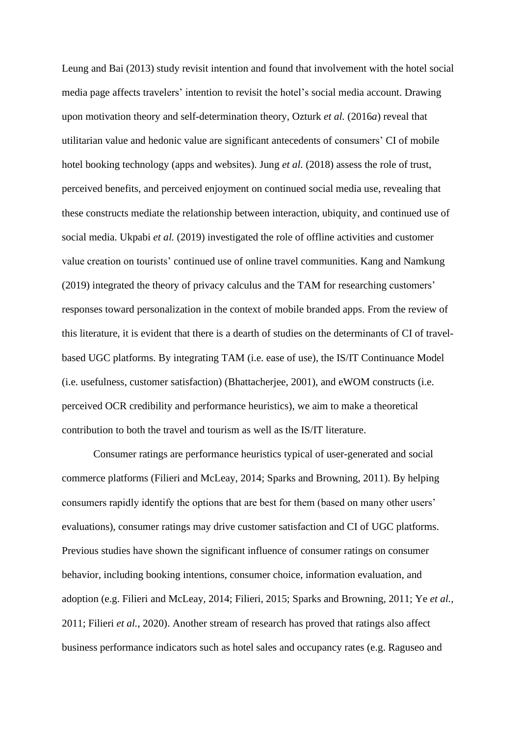Leung and Bai (2013) study revisit intention and found that involvement with the hotel social media page affects travelers' intention to revisit the hotel's social media account. Drawing upon motivation theory and self-determination theory, Ozturk *et al.* (2016*a*) reveal that utilitarian value and hedonic value are significant antecedents of consumers' CI of mobile hotel booking technology (apps and websites). Jung *et al.* (2018) assess the role of trust, perceived benefits, and perceived enjoyment on continued social media use, revealing that these constructs mediate the relationship between interaction, ubiquity, and continued use of social media. Ukpabi *et al.* (2019) investigated the role of offline activities and customer value creation on tourists' continued use of online travel communities. Kang and Namkung (2019) integrated the theory of privacy calculus and the TAM for researching customers' responses toward personalization in the context of mobile branded apps. From the review of this literature, it is evident that there is a dearth of studies on the determinants of CI of travelbased UGC platforms. By integrating TAM (i.e. ease of use), the IS/IT Continuance Model (i.e. usefulness, customer satisfaction) (Bhattacherjee, [2001\)](#page-24-0), and eWOM constructs (i.e. perceived OCR credibility and performance heuristics), we aim to make a theoretical contribution to both the travel and tourism as well as the IS/IT literature.

Consumer ratings are performance heuristics typical of user-generated and social commerce platforms (Filieri and McLeay, 2014; Sparks and Browning, 2011). By helping consumers rapidly identify the options that are best for them (based on many other users' evaluations), consumer ratings may drive customer satisfaction and CI of UGC platforms. Previous studies have shown the significant influence of consumer ratings on consumer behavior, including booking intentions, consumer choice, information evaluation, and adoption (e.g. Filieri and McLeay, 2014; Filieri, 2015; Sparks and Browning, 2011; Ye *et al.,* 2011; Filieri *et al.*, 2020). Another stream of research has proved that ratings also affect business performance indicators such as hotel sales and occupancy rates (e.g. Raguseo and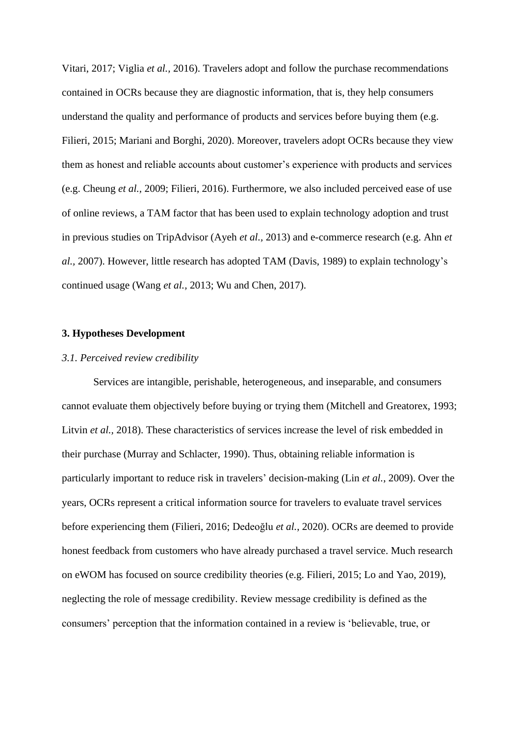Vitari, 2017; Viglia *et al.,* 2016). Travelers adopt and follow the purchase recommendations contained in OCRs because they are diagnostic information, that is, they help consumers understand the quality and performance of products and services before buying them (e.g. Filieri, 2015; Mariani and Borghi, 2020). Moreover, travelers adopt OCRs because they view them as honest and reliable accounts about customer's experience with products and services (e.g. Cheung *et al.,* 2009; Filieri, 2016). Furthermore, we also included perceived ease of use of online reviews, a TAM factor that has been used to explain technology adoption and trust in previous studies on TripAdvisor (Ayeh *et al.,* 2013) and e-commerce research (e.g. Ahn *et al.,* 2007). However, little research has adopted TAM (Davis, 1989) to explain technology's continued usage (Wang *et al.,* 2013; Wu and Chen, 2017).

#### **3. Hypotheses Development**

#### *3.1. Perceived review credibility*

Services are intangible, perishable, heterogeneous, and inseparable, and consumers cannot evaluate them objectively before buying or trying them (Mitchell and Greatorex, 1993; Litvin *et al.,* 2018). These characteristics of services increase the level of risk embedded in their purchase (Murray and Schlacter, 1990). Thus, obtaining reliable information is particularly important to reduce risk in travelers' decision-making (Lin *et al.*, 2009). Over the years, OCRs represent a critical information source for travelers to evaluate travel services before experiencing them (Filieri, 2016; Dedeoğlu *et al.*, 2020). OCRs are deemed to provide honest feedback from customers who have already purchased a travel service. Much research on eWOM has focused on source credibility theories (e.g. Filieri*,* 2015; Lo and Yao, 2019), neglecting the role of message credibility. Review message credibility is defined as the consumers' perception that the information contained in a review is 'believable, true, or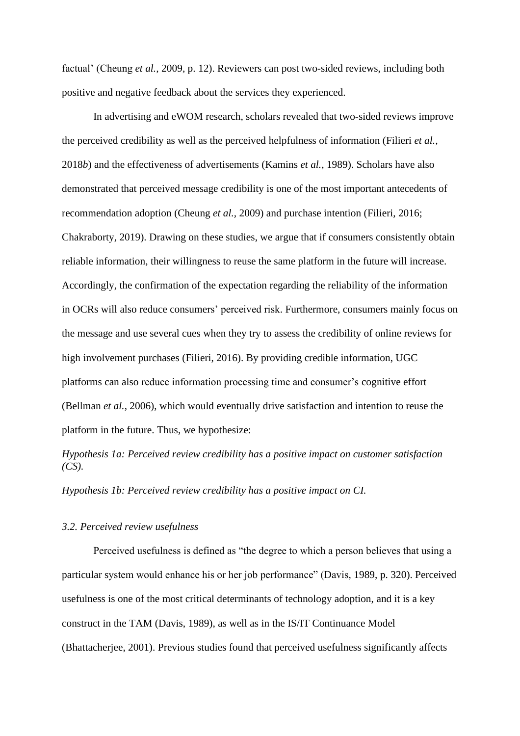factual' (Cheung *et al.,* 2009, p. 12). Reviewers can post two-sided reviews, including both positive and negative feedback about the services they experienced.

In advertising and eWOM research, scholars revealed that two-sided reviews improve the perceived credibility as well as the perceived helpfulness of information (Filieri *et al.,* 2018*b*) and the effectiveness of advertisements (Kamins *et al.*, 1989). Scholars have also demonstrated that perceived message credibility is one of the most important antecedents of recommendation adoption (Cheung *et al.,* 2009) and purchase intention (Filieri, 2016; Chakraborty, 2019). Drawing on these studies, we argue that if consumers consistently obtain reliable information, their willingness to reuse the same platform in the future will increase. Accordingly, the confirmation of the expectation regarding the reliability of the information in OCRs will also reduce consumers' perceived risk. Furthermore, consumers mainly focus on the message and use several cues when they try to assess the credibility of online reviews for high involvement purchases (Filieri, 2016). By providing credible information, UGC platforms can also reduce information processing time and consumer's cognitive effort (Bellman *et al.*, 2006), which would eventually drive satisfaction and intention to reuse the platform in the future. Thus, we hypothesize:

*Hypothesis 1a: Perceived review credibility has a positive impact on customer satisfaction (CS).*

*Hypothesis 1b: Perceived review credibility has a positive impact on CI.*

### *3.2. Perceived review usefulness*

Perceived usefulness is defined as "the degree to which a person believes that using a particular system would enhance his or her job performance" (Davis, 1989, p. 320). Perceived usefulness is one of the most critical determinants of technology adoption, and it is a key construct in the TAM (Davis, 1989), as well as in the IS/IT Continuance Model (Bhattacherjee, 2001). Previous studies found that perceived usefulness significantly affects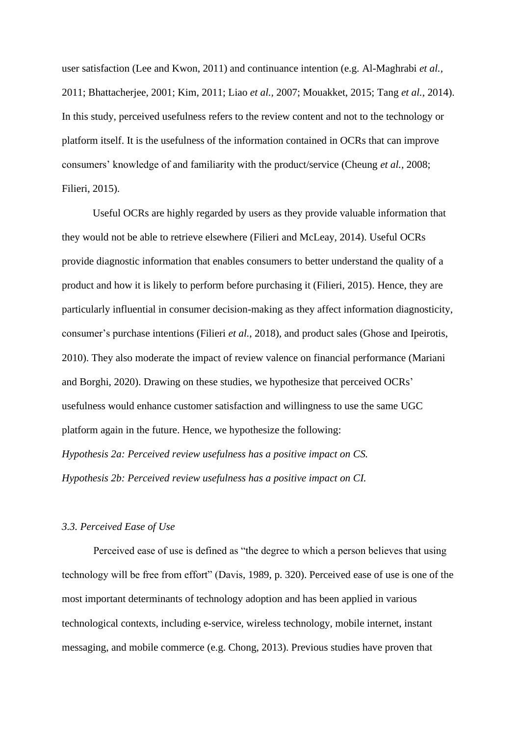user satisfaction (Lee and Kwon, 2011) and continuance intention (e.g. Al-Maghrabi *et al.,* 2011; Bhattacherjee, 2001; Kim, 2011; Liao *et al.,* 2007; Mouakket, 2015; Tang *et al.,* 2014). In this study, perceived usefulness refers to the review content and not to the technology or platform itself. It is the usefulness of the information contained in OCRs that can improve consumers' knowledge of and familiarity with the product/service (Cheung *et al.,* 2008; Filieri, 2015).

Useful OCRs are highly regarded by users as they provide valuable information that they would not be able to retrieve elsewhere (Filieri and McLeay, 2014). Useful OCRs provide diagnostic information that enables consumers to better understand the quality of a product and how it is likely to perform before purchasing it (Filieri, 2015). Hence, they are particularly influential in consumer decision-making as they affect information diagnosticity, consumer's purchase intentions (Filieri *et al.*, 2018), and product sales (Ghose and Ipeirotis, 2010). They also moderate the impact of review valence on financial performance (Mariani and Borghi, 2020). Drawing on these studies, we hypothesize that perceived OCRs' usefulness would enhance customer satisfaction and willingness to use the same UGC platform again in the future. Hence, we hypothesize the following: *Hypothesis 2a: Perceived review usefulness has a positive impact on CS.*

*Hypothesis 2b: Perceived review usefulness has a positive impact on CI.*

#### *3.3. Perceived Ease of Use*

Perceived ease of use is defined as "the degree to which a person believes that using technology will be free from effort" (Davis, 1989, p. 320). Perceived ease of use is one of the most important determinants of technology adoption and has been applied in various technological contexts, including e-service, wireless technology, mobile internet, instant messaging, and mobile commerce (e.g. Chong, 2013). Previous studies have proven that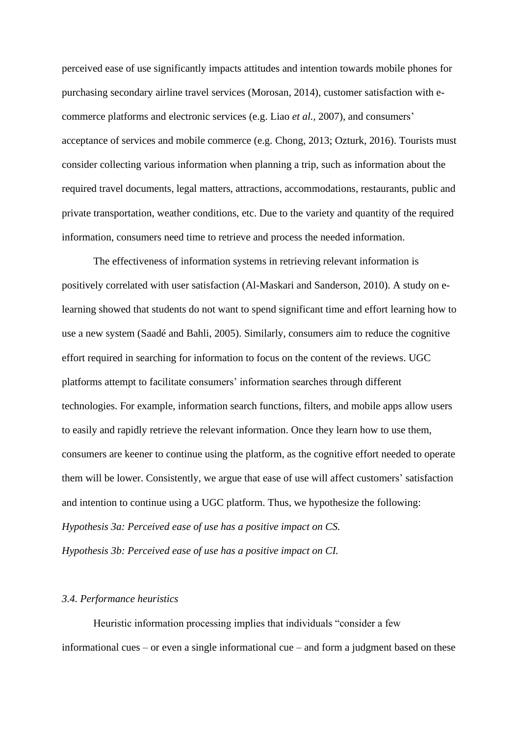perceived ease of use significantly impacts attitudes and intention towards mobile phones for purchasing secondary airline travel services (Morosan, 2014), customer satisfaction with ecommerce platforms and electronic services (e.g. Liao *et al.,* 2007), and consumers' acceptance of services and mobile commerce (e.g. Chong, 2013; Ozturk, 2016). Tourists must consider collecting various information when planning a trip, such as information about the required travel documents, legal matters, attractions, accommodations, restaurants, public and private transportation, weather conditions, etc. Due to the variety and quantity of the required information, consumers need time to retrieve and process the needed information.

The effectiveness of information systems in retrieving relevant information is positively correlated with user satisfaction (Al-Maskari and Sanderson, 2010). A study on elearning showed that students do not want to spend significant time and effort learning how to use a new system (Saadé and Bahli, 2005). Similarly, consumers aim to reduce the cognitive effort required in searching for information to focus on the content of the reviews. UGC platforms attempt to facilitate consumers' information searches through different technologies. For example, information search functions, filters, and mobile apps allow users to easily and rapidly retrieve the relevant information. Once they learn how to use them, consumers are keener to continue using the platform, as the cognitive effort needed to operate them will be lower. Consistently, we argue that ease of use will affect customers' satisfaction and intention to continue using a UGC platform. Thus, we hypothesize the following: *Hypothesis 3a: Perceived ease of use has a positive impact on CS. Hypothesis 3b: Perceived ease of use has a positive impact on CI.*

## *3.4. Performance heuristics*

Heuristic information processing implies that individuals "consider a few informational cues – or even a single informational cue – and form a judgment based on these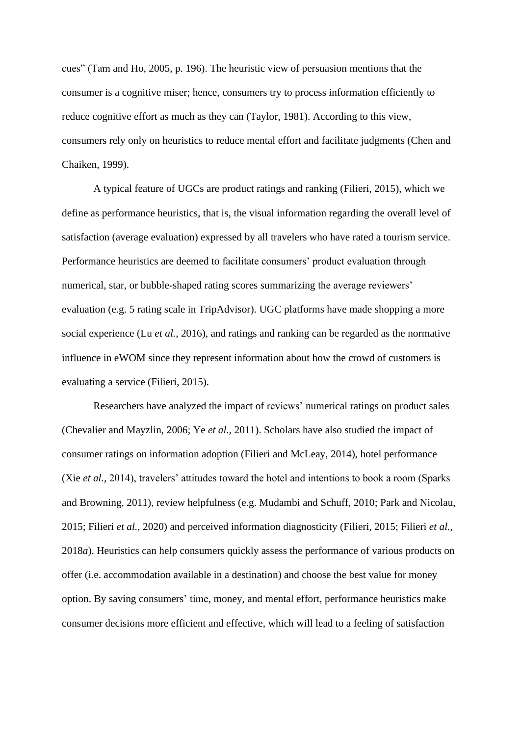cues" (Tam and Ho, 2005, p. 196). The heuristic view of persuasion mentions that the consumer is a cognitive miser; hence, consumers try to process information efficiently to reduce cognitive effort as much as they can (Taylor, 1981). According to this view, consumers rely only on heuristics to reduce mental effort and facilitate judgments (Chen and Chaiken, 1999).

A typical feature of UGCs are product ratings and ranking (Filieri, 2015), which we define as performance heuristics, that is, the visual information regarding the overall level of satisfaction (average evaluation) expressed by all travelers who have rated a tourism service. Performance heuristics are deemed to facilitate consumers' product evaluation through numerical, star, or bubble-shaped rating scores summarizing the average reviewers' evaluation (e.g. 5 rating scale in TripAdvisor). UGC platforms have made shopping a more social experience (Lu *et al.,* 2016), and ratings and ranking can be regarded as the normative influence in eWOM since they represent information about how the crowd of customers is evaluating a service (Filieri, 2015).

Researchers have analyzed the impact of reviews' numerical ratings on product sales (Chevalier and Mayzlin, 2006; Ye *et al.,* 2011). Scholars have also studied the impact of consumer ratings on information adoption (Filieri and McLeay, 2014), hotel performance (Xie *et al.,* 2014), travelers' attitudes toward the hotel and intentions to book a room (Sparks and Browning, 2011), review helpfulness (e.g. Mudambi and Schuff, 2010; Park and Nicolau, 2015; Filieri *et al.,* 2020) and perceived information diagnosticity (Filieri, 2015; Filieri *et al.*, 2018*a*). Heuristics can help consumers quickly assess the performance of various products on offer (i.e. accommodation available in a destination) and choose the best value for money option. By saving consumers' time, money, and mental effort, performance heuristics make consumer decisions more efficient and effective, which will lead to a feeling of satisfaction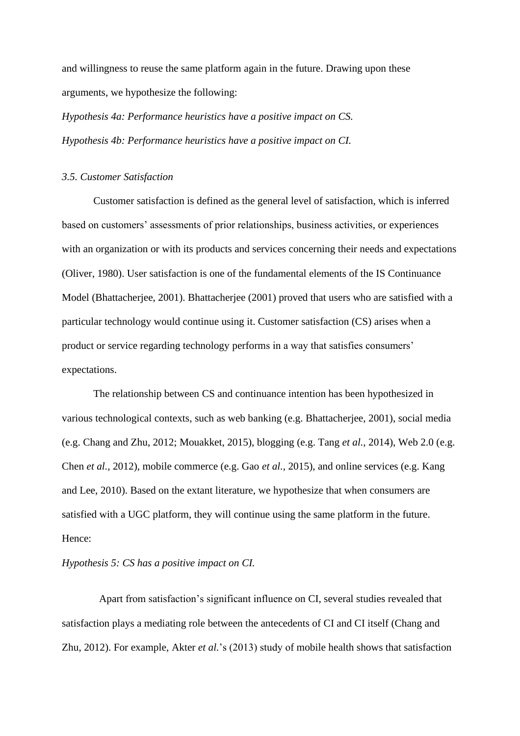and willingness to reuse the same platform again in the future. Drawing upon these arguments, we hypothesize the following:

*Hypothesis 4a: Performance heuristics have a positive impact on CS. Hypothesis 4b: Performance heuristics have a positive impact on CI.*

#### *3.5. Customer Satisfaction*

Customer satisfaction is defined as the general level of satisfaction, which is inferred based on customers' assessments of prior relationships, business activities, or experiences with an organization or with its products and services concerning their needs and expectations (Oliver, 1980). User satisfaction is one of the fundamental elements of the IS Continuance Model (Bhattacherjee, 2001). Bhattacherjee (2001) proved that users who are satisfied with a particular technology would continue using it. Customer satisfaction (CS) arises when a product or service regarding technology performs in a way that satisfies consumers' expectations.

The relationship between CS and continuance intention has been hypothesized in various technological contexts, such as web banking (e.g. Bhattacherjee, 2001), social media (e.g. Chang and Zhu, 2012; Mouakket, 2015), blogging (e.g. Tang *et al.,* 2014), Web 2.0 (e.g. Chen *et al.,* 2012), mobile commerce (e.g. Gao *et al.,* 2015), and online services (e.g. Kang and Lee, 2010). Based on the extant literature, we hypothesize that when consumers are satisfied with a UGC platform, they will continue using the same platform in the future. Hence:

## *Hypothesis 5: CS has a positive impact on CI.*

Apart from satisfaction's significant influence on CI, several studies revealed that satisfaction plays a mediating role between the antecedents of CI and CI itself (Chang and Zhu, 2012). For example, Akter *et al.*'s (2013) study of mobile health shows that satisfaction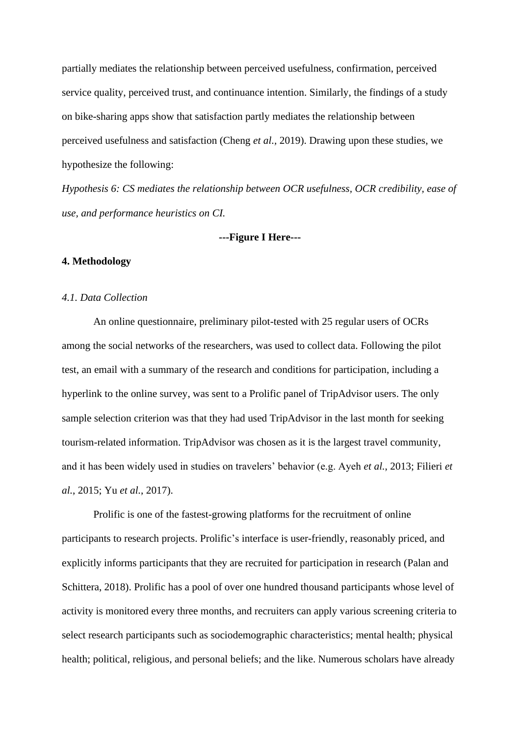partially mediates the relationship between perceived usefulness, confirmation, perceived service quality, perceived trust, and continuance intention. Similarly, the findings of a study on bike-sharing apps show that satisfaction partly mediates the relationship between perceived usefulness and satisfaction (Cheng *et al.,* 2019). Drawing upon these studies, we hypothesize the following:

*Hypothesis 6: CS mediates the relationship between OCR usefulness, OCR credibility, ease of use, and performance heuristics on CI.*

#### **---Figure I Here---**

## **4. Methodology**

#### *4.1. Data Collection*

An online questionnaire, preliminary pilot-tested with 25 regular users of OCRs among the social networks of the researchers, was used to collect data. Following the pilot test, an email with a summary of the research and conditions for participation, including a hyperlink to the online survey, was sent to a Prolific panel of TripAdvisor users. The only sample selection criterion was that they had used TripAdvisor in the last month for seeking tourism-related information. TripAdvisor was chosen as it is the largest travel community, and it has been widely used in studies on travelers' behavior (e.g. Ayeh *et al.*, 2013; Filieri *et al.*, 2015; Yu *et al.*, 2017).

Prolific is one of the fastest-growing platforms for the recruitment of online participants to research projects. Prolific's interface is user-friendly, reasonably priced, and explicitly informs participants that they are recruited for participation in research (Palan and Schittera, 2018). Prolific has a pool of over one hundred thousand participants whose level of activity is monitored every three months, and recruiters can apply various screening criteria to select research participants such as sociodemographic characteristics; mental health; physical health; political, religious, and personal beliefs; and the like. Numerous scholars have already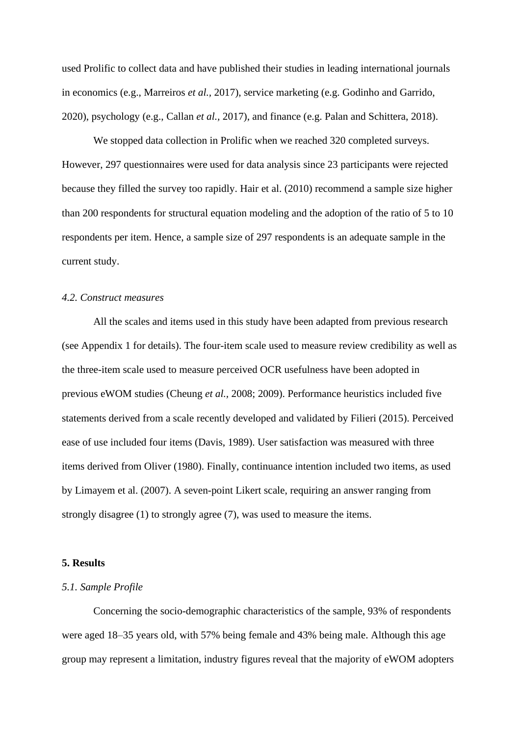used Prolific to collect data and have published their studies in leading international journals in economics (e.g., Marreiros *et al.,* 2017), service marketing (e.g. Godinho and Garrido, 2020), psychology (e.g., Callan *et al.,* 2017), and finance (e.g. Palan and Schittera, 2018).

We stopped data collection in Prolific when we reached 320 completed surveys. However, 297 questionnaires were used for data analysis since 23 participants were rejected because they filled the survey too rapidly. Hair et al. (2010) recommend a sample size higher than 200 respondents for structural equation modeling and the adoption of the ratio of 5 to 10 respondents per item. Hence, a sample size of 297 respondents is an adequate sample in the current study.

#### *4.2. Construct measures*

All the scales and items used in this study have been adapted from previous research (see Appendix 1 for details). The four-item scale used to measure review credibility as well as the three-item scale used to measure perceived OCR usefulness have been adopted in previous eWOM studies (Cheung *et al.,* 2008; 2009). Performance heuristics included five statements derived from a scale recently developed and validated by Filieri (2015). Perceived ease of use included four items (Davis, 1989). User satisfaction was measured with three items derived from Oliver (1980). Finally, continuance intention included two items, as used by Limayem et al. (2007). A seven-point Likert scale, requiring an answer ranging from strongly disagree (1) to strongly agree (7), was used to measure the items.

#### **5. Results**

## *5.1. Sample Profile*

Concerning the socio-demographic characteristics of the sample, 93% of respondents were aged 18–35 years old, with 57% being female and 43% being male. Although this age group may represent a limitation, industry figures reveal that the majority of eWOM adopters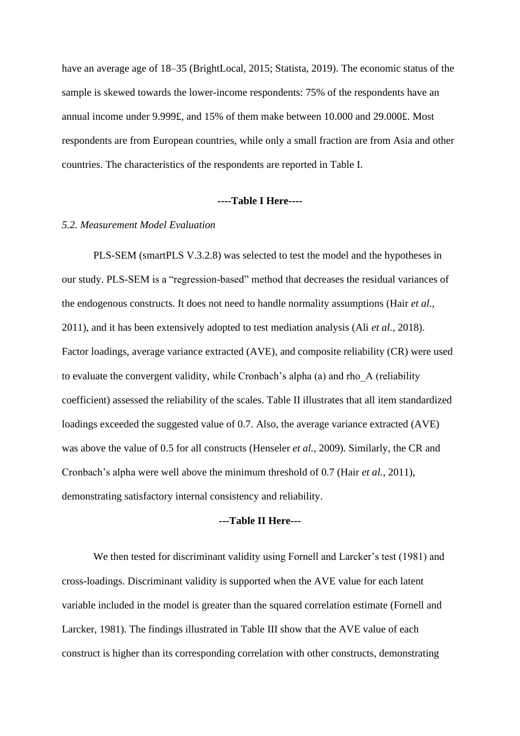have an average age of 18–35 (BrightLocal, 2015; Statista, 2019). The economic status of the sample is skewed towards the lower-income respondents: 75% of the respondents have an annual income under 9.999£, and 15% of them make between 10.000 and 29.000£. Most respondents are from European countries, while only a small fraction are from Asia and other countries. The characteristics of the respondents are reported in Table I.

#### **----Table I Here----**

## *5.2. Measurement Model Evaluation*

PLS-SEM (smartPLS V.3.2.8) was selected to test the model and the hypotheses in our study. PLS-SEM is a "regression-based" method that decreases the residual variances of the endogenous constructs. It does not need to handle normality assumptions (Hair *et al.,* 2011), and it has been extensively adopted to test mediation analysis (Ali *et al.,* 2018). Factor loadings, average variance extracted (AVE), and composite reliability (CR) were used to evaluate the convergent validity, while Cronbach's alpha (a) and rho\_A (reliability coefficient) assessed the reliability of the scales. Table II illustrates that all item standardized loadings exceeded the suggested value of 0.7. Also, the average variance extracted (AVE) was above the value of 0.5 for all constructs (Henseler *et al.,* 2009). Similarly, the CR and Cronbach's alpha were well above the minimum threshold of 0.7 (Hair *et al.,* 2011), demonstrating satisfactory internal consistency and reliability.

## **---Table II Here---**

We then tested for discriminant validity using Fornell and Larcker's test (1981) and cross-loadings. Discriminant validity is supported when the AVE value for each latent variable included in the model is greater than the squared correlation estimate (Fornell and Larcker, 1981). The findings illustrated in Table III show that the AVE value of each construct is higher than its corresponding correlation with other constructs, demonstrating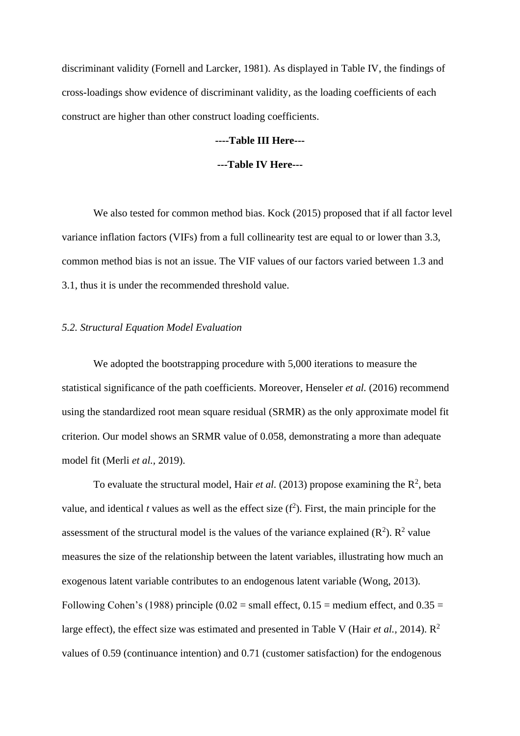discriminant validity (Fornell and Larcker, 1981). As displayed in Table IV, the findings of cross-loadings show evidence of discriminant validity, as the loading coefficients of each construct are higher than other construct loading coefficients.

# **----Table III Here---**

#### **---Table IV Here---**

We also tested for common method bias. Kock (2015) proposed that if all factor level variance inflation factors (VIFs) from a full collinearity test are equal to or lower than 3.3, common method bias is not an issue. The VIF values of our factors varied between 1.3 and 3.1, thus it is under the recommended threshold value.

#### *5.2. Structural Equation Model Evaluation*

We adopted the bootstrapping procedure with 5,000 iterations to measure the statistical significance of the path coefficients. Moreover, Henseler *et al.* (2016) recommend using the standardized root mean square residual (SRMR) as the only approximate model fit criterion. Our model shows an SRMR value of 0.058, demonstrating a more than adequate model fit (Merli *et al.,* 2019).

To evaluate the structural model, Hair *et al.* (2013) propose examining the  $\mathbb{R}^2$ , beta value, and identical *t* values as well as the effect size  $(f^2)$ . First, the main principle for the assessment of the structural model is the values of the variance explained  $(R^2)$ .  $R^2$  value measures the size of the relationship between the latent variables, illustrating how much an exogenous latent variable contributes to an endogenous latent variable (Wong, 2013). Following Cohen's (1988) principle (0.02 = small effect,  $0.15$  = medium effect, and  $0.35$  = large effect), the effect size was estimated and presented in Table V (Hair *et al.,* 2014). R 2 values of 0.59 (continuance intention) and 0.71 (customer satisfaction) for the endogenous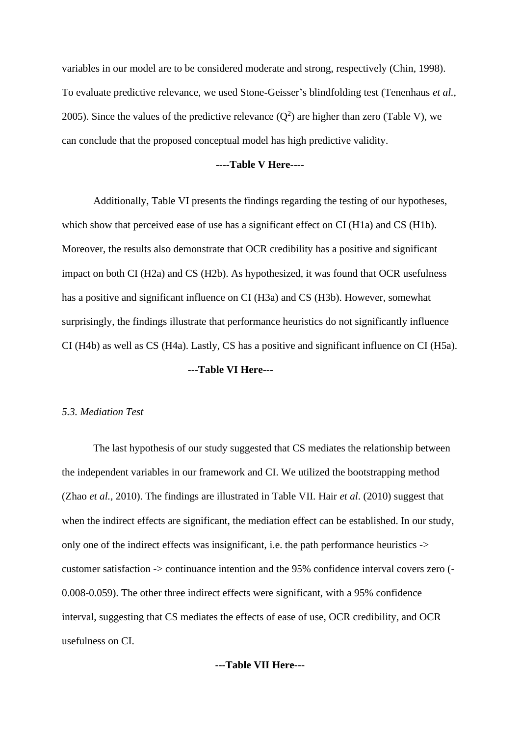variables in our model are to be considered moderate and strong, respectively (Chin, 1998). To evaluate predictive relevance, we used Stone-Geisser's blindfolding test (Tenenhaus *et al.,* 2005). Since the values of the predictive relevance  $(Q^2)$  are higher than zero (Table V), we can conclude that the proposed conceptual model has high predictive validity.

#### **----Table V Here----**

Additionally, Table VI presents the findings regarding the testing of our hypotheses, which show that perceived ease of use has a significant effect on CI (H1a) and CS (H1b). Moreover, the results also demonstrate that OCR credibility has a positive and significant impact on both CI (H2a) and CS (H2b). As hypothesized, it was found that OCR usefulness has a positive and significant influence on CI (H3a) and CS (H3b). However, somewhat surprisingly, the findings illustrate that performance heuristics do not significantly influence CI (H4b) as well as CS (H4a). Lastly, CS has a positive and significant influence on CI (H5a).

#### **---Table VI Here---**

#### *5.3. Mediation Test*

The last hypothesis of our study suggested that CS mediates the relationship between the independent variables in our framework and CI. We utilized the bootstrapping method (Zhao *et al.*, 2010). The findings are illustrated in Table VII. Hair *et al*. (2010) suggest that when the indirect effects are significant, the mediation effect can be established. In our study, only one of the indirect effects was insignificant, i.e. the path performance heuristics -> customer satisfaction -> continuance intention and the 95% confidence interval covers zero (- 0.008-0.059). The other three indirect effects were significant, with a 95% confidence interval, suggesting that CS mediates the effects of ease of use, OCR credibility, and OCR usefulness on CI.

## **---Table VII Here---**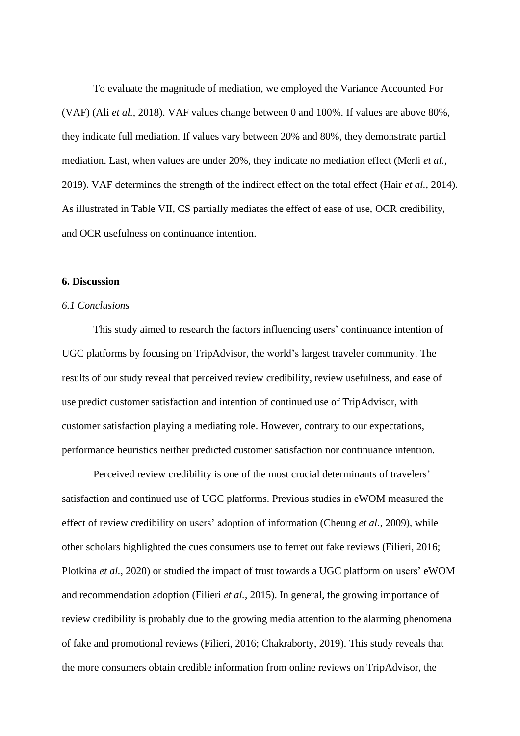To evaluate the magnitude of mediation, we employed the Variance Accounted For (VAF) (Ali *et al.,* 2018). VAF values change between 0 and 100%. If values are above 80%, they indicate full mediation. If values vary between 20% and 80%, they demonstrate partial mediation. Last, when values are under 20%, they indicate no mediation effect (Merli *et al.,* 2019). VAF determines the strength of the indirect effect on the total effect (Hair *et al.,* 2014). As illustrated in Table VII, CS partially mediates the effect of ease of use, OCR credibility, and OCR usefulness on continuance intention.

## **6. Discussion**

# *6.1 Conclusions*

This study aimed to research the factors influencing users' continuance intention of UGC platforms by focusing on TripAdvisor, the world's largest traveler community. The results of our study reveal that perceived review credibility, review usefulness, and ease of use predict customer satisfaction and intention of continued use of TripAdvisor, with customer satisfaction playing a mediating role. However, contrary to our expectations, performance heuristics neither predicted customer satisfaction nor continuance intention.

Perceived review credibility is one of the most crucial determinants of travelers' satisfaction and continued use of UGC platforms. Previous studies in eWOM measured the effect of review credibility on users' adoption of information (Cheung *et al.,* 2009), while other scholars highlighted the cues consumers use to ferret out fake reviews (Filieri, 2016; Plotkina *et al.*, 2020) or studied the impact of trust towards a UGC platform on users' eWOM and recommendation adoption (Filieri *et al.*, 2015). In general, the growing importance of review credibility is probably due to the growing media attention to the alarming phenomena of fake and promotional reviews (Filieri, 2016; Chakraborty, 2019). This study reveals that the more consumers obtain credible information from online reviews on TripAdvisor, the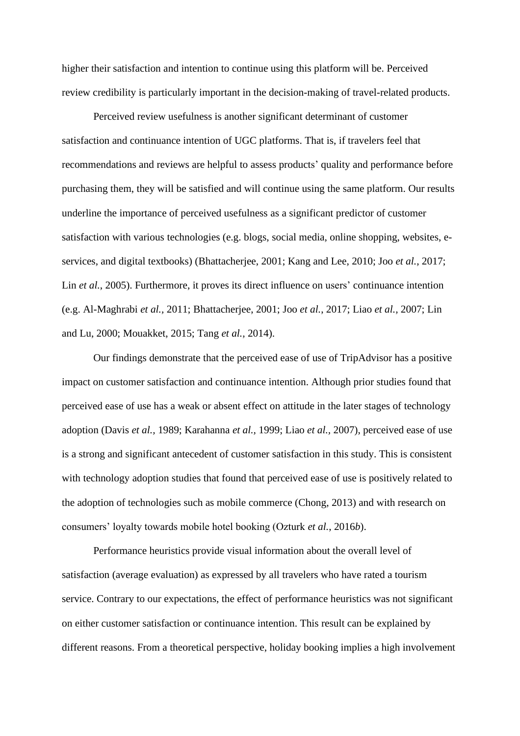higher their satisfaction and intention to continue using this platform will be. Perceived review credibility is particularly important in the decision-making of travel-related products.

Perceived review usefulness is another significant determinant of customer satisfaction and continuance intention of UGC platforms. That is, if travelers feel that recommendations and reviews are helpful to assess products' quality and performance before purchasing them, they will be satisfied and will continue using the same platform. Our results underline the importance of perceived usefulness as a significant predictor of customer satisfaction with various technologies (e.g. blogs, social media, online shopping, websites, eservices, and digital textbooks) (Bhattacherjee, 2001; Kang and Lee, 2010; Joo *et al.*, 2017; Lin *et al.*, 2005). Furthermore, it proves its direct influence on users' continuance intention (e.g. Al-Maghrabi *et al.,* 2011; Bhattacherjee, 2001; Joo *et al.*, 2017; Liao *et al.,* 2007; Lin and Lu, 2000; Mouakket, 2015; Tang *et al.,* 2014).

Our findings demonstrate that the perceived ease of use of TripAdvisor has a positive impact on customer satisfaction and continuance intention. Although prior studies found that perceived ease of use has a weak or absent effect on attitude in the later stages of technology adoption (Davis *et al.,* 1989; Karahanna *et al.,* 1999; Liao *et al.,* 2007), perceived ease of use is a strong and significant antecedent of customer satisfaction in this study. This is consistent with technology adoption studies that found that perceived ease of use is positively related to the adoption of technologies such as mobile commerce (Chong, 2013) and with research on consumers' loyalty towards mobile hotel booking (Ozturk *et al.*, 2016*b*).

Performance heuristics provide visual information about the overall level of satisfaction (average evaluation) as expressed by all travelers who have rated a tourism service. Contrary to our expectations, the effect of performance heuristics was not significant on either customer satisfaction or continuance intention. This result can be explained by different reasons. From a theoretical perspective, holiday booking implies a high involvement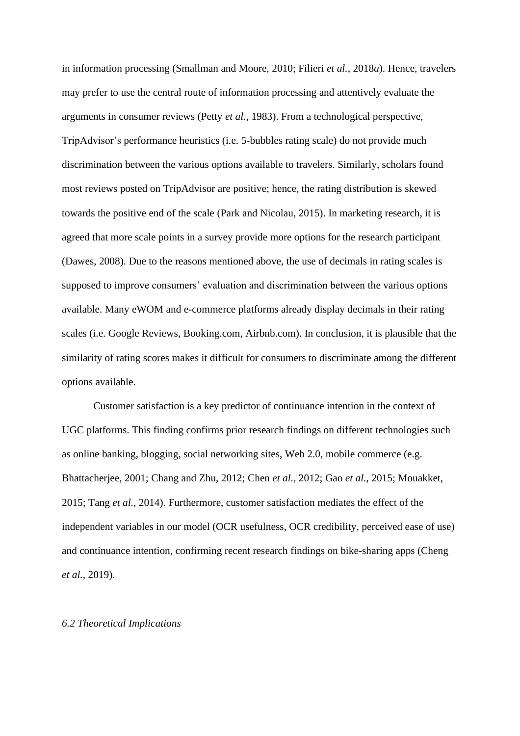in information processing (Smallman and Moore, 2010; Filieri *et al.*, 2018*a*). Hence, travelers may prefer to use the central route of information processing and attentively evaluate the arguments in consumer reviews (Petty *et al.,* 1983). From a technological perspective, TripAdvisor's performance heuristics (i.e. 5-bubbles rating scale) do not provide much discrimination between the various options available to travelers. Similarly, scholars found most reviews posted on TripAdvisor are positive; hence, the rating distribution is skewed towards the positive end of the scale (Park and Nicolau, 2015). In marketing research, it is agreed that more scale points in a survey provide more options for the research participant (Dawes, 2008). Due to the reasons mentioned above, the use of decimals in rating scales is supposed to improve consumers' evaluation and discrimination between the various options available. Many eWOM and e-commerce platforms already display decimals in their rating scales (i.e. Google Reviews, Booking.com, Airbnb.com). In conclusion, it is plausible that the similarity of rating scores makes it difficult for consumers to discriminate among the different options available.

Customer satisfaction is a key predictor of continuance intention in the context of UGC platforms. This finding confirms prior research findings on different technologies such as online banking, blogging, social networking sites, Web 2.0, mobile commerce (e.g. Bhattacherjee, 2001; Chang and Zhu, 2012; Chen *et al.,* 2012; Gao *et al.,* 2015; Mouakket, 2015; Tang *et al.,* 2014). Furthermore, customer satisfaction mediates the effect of the independent variables in our model (OCR usefulness, OCR credibility, perceived ease of use) and continuance intention, confirming recent research findings on bike-sharing apps (Cheng *et al.,* 2019).

#### *6.2 Theoretical Implications*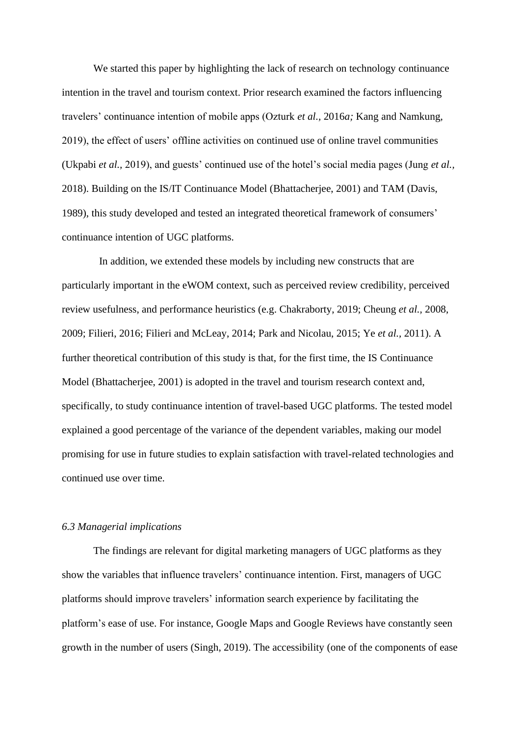We started this paper by highlighting the lack of research on technology continuance intention in the travel and tourism context. Prior research examined the factors influencing travelers' continuance intention of mobile apps (Ozturk *et al.,* 2016*a;* Kang and Namkung, 2019), the effect of users' offline activities on continued use of online travel communities (Ukpabi *et al.,* 2019), and guests' continued use of the hotel's social media pages (Jung *et al.,* 2018). Building on the IS/IT Continuance Model (Bhattacherjee, 2001) and TAM (Davis, 1989), this study developed and tested an integrated theoretical framework of consumers' continuance intention of UGC platforms.

In addition, we extended these models by including new constructs that are particularly important in the eWOM context, such as perceived review credibility, perceived review usefulness, and performance heuristics (e.g. Chakraborty, 2019; Cheung *et al.,* 2008, 2009; Filieri, 2016; Filieri and McLeay, 2014; Park and Nicolau, 2015; Ye *et al.,* 2011). A further theoretical contribution of this study is that, for the first time, the IS Continuance Model (Bhattacherjee, 2001) is adopted in the travel and tourism research context and, specifically, to study continuance intention of travel-based UGC platforms. The tested model explained a good percentage of the variance of the dependent variables, making our model promising for use in future studies to explain satisfaction with travel-related technologies and continued use over time.

#### *6.3 Managerial implications*

The findings are relevant for digital marketing managers of UGC platforms as they show the variables that influence travelers' continuance intention. First, managers of UGC platforms should improve travelers' information search experience by facilitating the platform's ease of use. For instance, Google Maps and Google Reviews have constantly seen growth in the number of users (Singh, 2019). The accessibility (one of the components of ease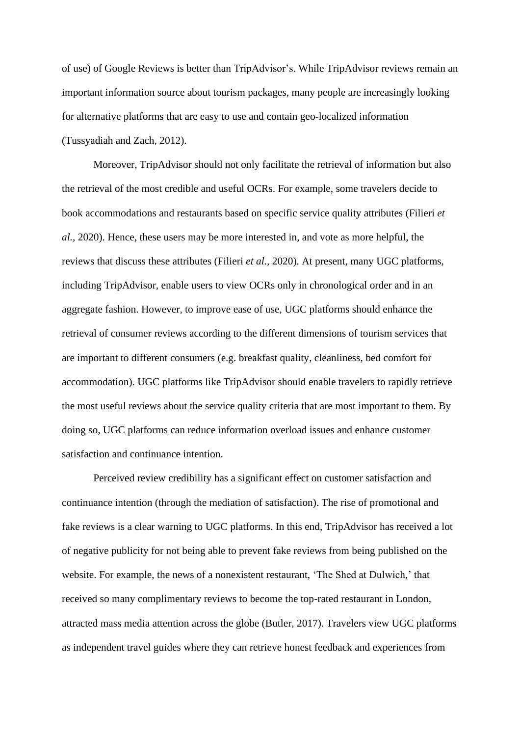of use) of Google Reviews is better than TripAdvisor's. While TripAdvisor reviews remain an important information source about tourism packages, many people are increasingly looking for alternative platforms that are easy to use and contain geo-localized information (Tussyadiah and Zach, 2012).

Moreover, TripAdvisor should not only facilitate the retrieval of information but also the retrieval of the most credible and useful OCRs. For example, some travelers decide to book accommodations and restaurants based on specific service quality attributes (Filieri *et al.,* 2020). Hence, these users may be more interested in, and vote as more helpful, the reviews that discuss these attributes (Filieri *et al.,* 2020). At present, many UGC platforms, including TripAdvisor, enable users to view OCRs only in chronological order and in an aggregate fashion. However, to improve ease of use, UGC platforms should enhance the retrieval of consumer reviews according to the different dimensions of tourism services that are important to different consumers (e.g. breakfast quality, cleanliness, bed comfort for accommodation). UGC platforms like TripAdvisor should enable travelers to rapidly retrieve the most useful reviews about the service quality criteria that are most important to them. By doing so, UGC platforms can reduce information overload issues and enhance customer satisfaction and continuance intention.

Perceived review credibility has a significant effect on customer satisfaction and continuance intention (through the mediation of satisfaction). The rise of promotional and fake reviews is a clear warning to UGC platforms. In this end, TripAdvisor has received a lot of negative publicity for not being able to prevent fake reviews from being published on the website. For example, the news of a nonexistent restaurant, 'The Shed at Dulwich,' that received so many complimentary reviews to become the top-rated restaurant in London, attracted mass media attention across the globe (Butler, 2017). Travelers view UGC platforms as independent travel guides where they can retrieve honest feedback and experiences from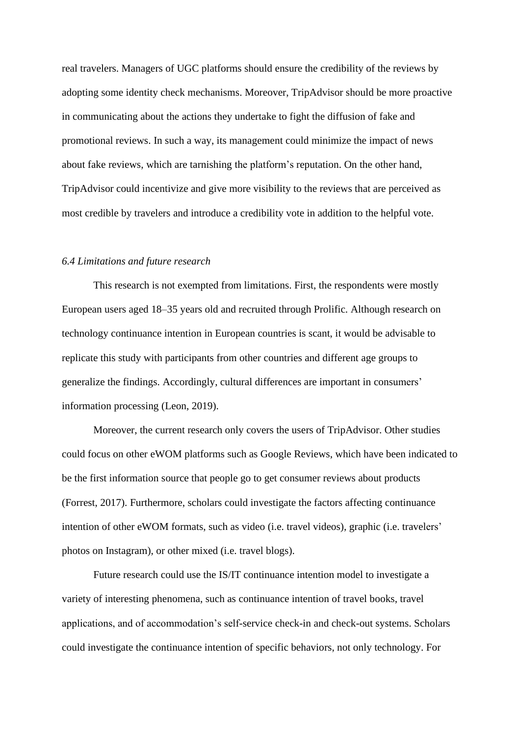real travelers. Managers of UGC platforms should ensure the credibility of the reviews by adopting some identity check mechanisms. Moreover, TripAdvisor should be more proactive in communicating about the actions they undertake to fight the diffusion of fake and promotional reviews. In such a way, its management could minimize the impact of news about fake reviews, which are tarnishing the platform's reputation. On the other hand, TripAdvisor could incentivize and give more visibility to the reviews that are perceived as most credible by travelers and introduce a credibility vote in addition to the helpful vote.

#### *6.4 Limitations and future research*

This research is not exempted from limitations. First, the respondents were mostly European users aged 18–35 years old and recruited through Prolific. Although research on technology continuance intention in European countries is scant, it would be advisable to replicate this study with participants from other countries and different age groups to generalize the findings. Accordingly, cultural differences are important in consumers' information processing (Leon, 2019).

Moreover, the current research only covers the users of TripAdvisor. Other studies could focus on other eWOM platforms such as Google Reviews, which have been indicated to be the first information source that people go to get consumer reviews about products (Forrest, 2017). Furthermore, scholars could investigate the factors affecting continuance intention of other eWOM formats, such as video (i.e. travel videos), graphic (i.e. travelers' photos on Instagram), or other mixed (i.e. travel blogs).

Future research could use the IS/IT continuance intention model to investigate a variety of interesting phenomena, such as continuance intention of travel books, travel applications, and of accommodation's self-service check-in and check-out systems. Scholars could investigate the continuance intention of specific behaviors, not only technology. For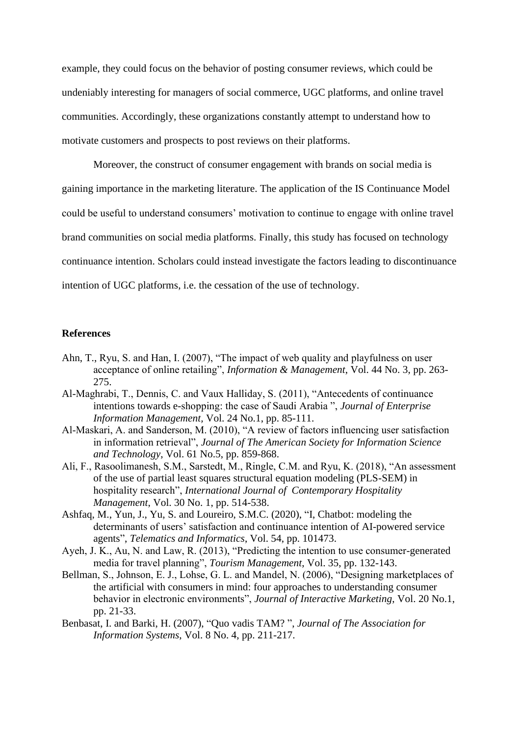example, they could focus on the behavior of posting consumer reviews, which could be undeniably interesting for managers of social commerce, UGC platforms, and online travel communities. Accordingly, these organizations constantly attempt to understand how to motivate customers and prospects to post reviews on their platforms.

Moreover, the construct of consumer engagement with brands on social media is gaining importance in the marketing literature. The application of the IS Continuance Model could be useful to understand consumers' motivation to continue to engage with online travel brand communities on social media platforms. Finally, this study has focused on technology continuance intention. Scholars could instead investigate the factors leading to discontinuance intention of UGC platforms, i.e. the cessation of the use of technology.

## **References**

- Ahn, T., Ryu, S. and Han, I. (2007), "The impact of web quality and playfulness on user acceptance of online retailing", *Information & Management*, Vol. 44 No. 3, pp. 263- 275.
- Al-Maghrabi, T., Dennis, C. and Vaux Halliday, S. (2011), "Antecedents of continuance intentions towards e-shopping: the case of Saudi Arabia ", *Journal of Enterprise Information Management,* Vol. 24 No.1, pp. 85-111.
- Al‐Maskari, A. and Sanderson, M. (2010), "A review of factors influencing user satisfaction in information retrieval", *Journal of The American Society for Information Science and Technology*, Vol. 61 No.5, pp. 859-868.
- Ali, F., Rasoolimanesh, S.M., Sarstedt, M., Ringle, C.M. and Ryu, K. (2018), "An assessment of the use of partial least squares structural equation modeling (PLS-SEM) in hospitality research", *International Journal of Contemporary Hospitality Management*, Vol. 30 No. 1, pp. 514-538.
- Ashfaq, M., Yun, J., Yu, S. and Loureiro, S.M.C. (2020), "I, Chatbot: modeling the determinants of users' satisfaction and continuance intention of AI-powered service agents", *Telematics and Informatics*, Vol. 54, pp. 101473.
- Ayeh, J. K., Au, N. and Law, R. (2013), "Predicting the intention to use consumer-generated media for travel planning", *Tourism Management*, Vol. 35, pp. 132-143.
- Bellman, S., Johnson, E. J., Lohse, G. L. and Mandel, N. (2006), "Designing marketplaces of the artificial with consumers in mind: four approaches to understanding consumer behavior in electronic environments", *Journal of Interactive Marketing*, Vol. 20 No.1, pp. 21-33.
- Benbasat, I. and Barki, H. (2007), "Quo vadis TAM? ", *Journal of The Association for Information Systems*, Vol. 8 No. 4, pp. 211-217.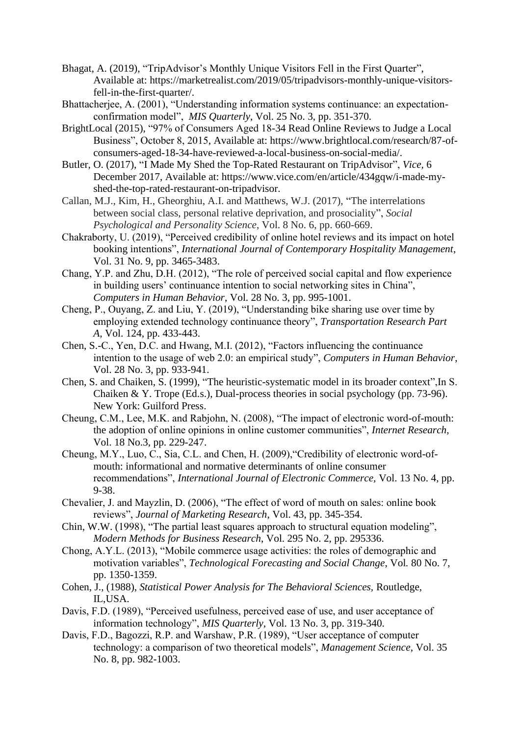- Bhagat, A. (2019), "TripAdvisor's Monthly Unique Visitors Fell in the First Quarter", Available at: https://marketrealist.com/2019/05/tripadvisors-monthly-unique-visitorsfell-in-the-first-quarter/.
- <span id="page-24-0"></span>Bhattacherjee, A. (2001), "Understanding information systems continuance: an expectationconfirmation model", *MIS Quarterly*, Vol. 25 No. 3, pp. 351-370.
- BrightLocal (2015), "97% of Consumers Aged 18-34 Read Online Reviews to Judge a Local Business", October 8, 2015, Available at: https://www.brightlocal.com/research/87-ofconsumers-aged-18-34-have-reviewed-a-local-business-on-social-media/.
- Butler, O. (2017), "I Made My Shed the Top-Rated Restaurant on TripAdvisor", *Vice,* 6 December 2017, Available at: https://www.vice.com/en/article/434gqw/i-made-myshed-the-top-rated-restaurant-on-tripadvisor.
- Callan, M.J., Kim, H., Gheorghiu, A.I. and Matthews, W.J. (2017), "The interrelations between social class, personal relative deprivation, and prosociality", *Social Psychological and Personality Science*, Vol. 8 No. 6, pp. 660-669.
- Chakraborty, U. (2019), "Perceived credibility of online hotel reviews and its impact on hotel booking intentions", *International Journal of Contemporary Hospitality Management*, Vol. 31 No. 9, pp. 3465-3483.
- Chang, Y.P. and Zhu, D.H. (2012), "The role of perceived social capital and flow experience in building users' continuance intention to social networking sites in China", *Computers in Human Behavior*, Vol. 28 No. 3, pp. 995-1001.
- Cheng, P., Ouyang, Z. and Liu, Y. (2019), "Understanding bike sharing use over time by employing extended technology continuance theory", *Transportation Research Part A,* Vol. 124, pp. 433-443.
- Chen, S.-C., Yen, D.C. and Hwang, M.I. (2012), "Factors influencing the continuance intention to the usage of web 2.0: an empirical study", *Computers in Human Behavior*, Vol. 28 No. 3, pp. 933-941.
- Chen, S. and Chaiken, S. (1999), "The heuristic-systematic model in its broader context",In S. Chaiken & Y. Trope (Ed.s.), Dual-process theories in social psychology (pp. 73-96). New York: Guilford Press.
- Cheung, C.M., Lee, M.K. and Rabjohn, N. (2008), "The impact of electronic word-of-mouth: the adoption of online opinions in online customer communities", *Internet Research,* Vol. 18 No.3, pp. 229-247.
- Cheung, M.Y., Luo, C., Sia, C.L. and Chen, H. (2009),"Credibility of electronic word-ofmouth: informational and normative determinants of online consumer recommendations", *International Journal of Electronic Commerce,* Vol. 13 No. 4, pp. 9-38.
- Chevalier, J. and Mayzlin, D. (2006), "The effect of word of mouth on sales: online book reviews", *Journal of Marketing Research*, Vol. 43, pp. 345-354.
- Chin, W.W. (1998), "The partial least squares approach to structural equation modeling", *Modern Methods for Business Research*, Vol. 295 No. 2, pp. 295336.
- Chong, A.Y.L. (2013), "Mobile commerce usage activities: the roles of demographic and motivation variables", *Technological Forecasting and Social Change*, Vol*.* 80 No. 7, pp. 1350-1359.
- Cohen, J., (1988), *Statistical Power Analysis for The Behavioral Sciences,* Routledge, IL,USA.
- Davis, F.D. (1989), "Perceived usefulness, perceived ease of use, and user acceptance of information technology", *MIS Quarterly*, Vol. 13 No. 3, pp. 319-340.
- Davis, F.D., Bagozzi, R.P. and Warshaw, P.R. (1989), "User acceptance of computer technology: a comparison of two theoretical models", *Management Science*, Vol. 35 No. 8, pp. 982-1003.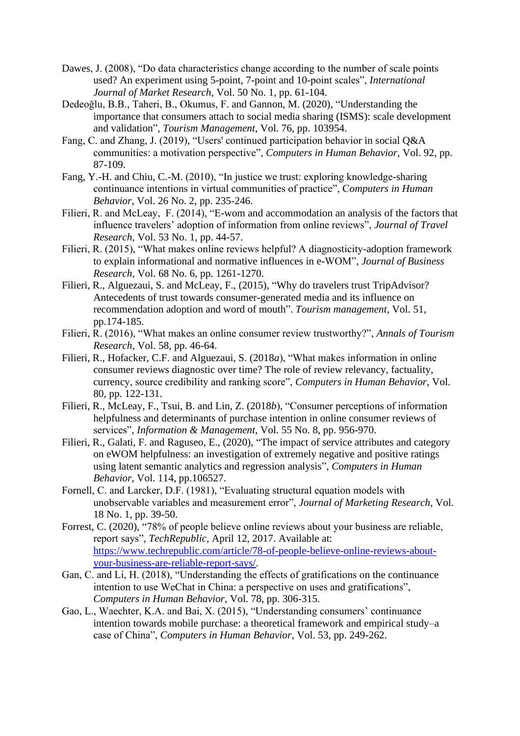- Dawes, J. (2008), "Do data characteristics change according to the number of scale points used? An experiment using 5-point, 7-point and 10-point scales", *International Journal of Market Research*, Vol. 50 No. 1, pp. 61-104.
- Dedeoğlu, B.B., Taheri, B., Okumus, F. and Gannon, M. (2020), "Understanding the importance that consumers attach to social media sharing (ISMS): scale development and validation", *Tourism Management*, Vol. 76, pp. 103954.
- Fang, C. and Zhang, J. (2019), "Users' continued participation behavior in social Q&A communities: a motivation perspective", *Computers in Human Behavior,* Vol. 92, pp. 87-109.
- Fang, Y.-H. and Chiu, C.-M. (2010), "In justice we trust: exploring knowledge-sharing continuance intentions in virtual communities of practice", C*omputers in Human Behavior*, Vol. 26 No. 2, pp. 235-246.
- Filieri, R. and McLeay, F. (2014), "E-wom and accommodation an analysis of the factors that influence travelers' adoption of information from online reviews", *Journal of Travel Research*, Vol. 53 No. 1, pp. 44-57.
- Filieri, R. (2015), "What makes online reviews helpful? A diagnosticity-adoption framework to explain informational and normative influences in e-WOM", *Journal of Business Research,* Vol. 68 No. 6, pp. 1261-1270.
- Filieri, R., Alguezaui, S. and McLeay, F., (2015), "Why do travelers trust TripAdvisor? Antecedents of trust towards consumer-generated media and its influence on recommendation adoption and word of mouth". *Tourism management*, Vol. 51, pp.174-185.
- Filieri, R. (2016), "What makes an online consumer review trustworthy?", *Annals of Tourism Research*, Vol. 58, pp. 46-64.
- Filieri, R., Hofacker, C.F. and Alguezaui, S. (2018*a*), "What makes information in online consumer reviews diagnostic over time? The role of review relevancy, factuality, currency, source credibility and ranking score", *Computers in Human Behavior*, Vol. 80, pp. 122-131.
- Filieri, R., McLeay, F., Tsui, B. and Lin, Z. (2018*b*), "Consumer perceptions of information helpfulness and determinants of purchase intention in online consumer reviews of services", *Information & Management,* Vol. 55 No. 8, pp. 956-970.
- Filieri, R., Galati, F. and Raguseo, E., (2020), "The impact of service attributes and category on eWOM helpfulness: an investigation of extremely negative and positive ratings using latent semantic analytics and regression analysis", *Computers in Human Behavior*, Vol. 114, pp.106527.
- Fornell, C. and Larcker, D.F. (1981), "Evaluating structural equation models with unobservable variables and measurement error", *Journal of Marketing Research*, Vol. 18 No. 1, pp. 39-50.
- Forrest, C. (2020), "78% of people believe online reviews about your business are reliable, report says", *TechRepublic,* April 12, 2017. Available at: [https://www.techrepublic.com/article/78-of-people-believe-online-reviews-about](https://www.techrepublic.com/article/78-of-people-believe-online-reviews-about-your-business-are-reliable-report-says/)[your-business-are-reliable-report-says/.](https://www.techrepublic.com/article/78-of-people-believe-online-reviews-about-your-business-are-reliable-report-says/)
- Gan, C. and Li, H. (2018), "Understanding the effects of gratifications on the continuance intention to use WeChat in China: a perspective on uses and gratifications", *Computers in Human Behavior*, Vol. 78, pp. 306-315.
- Gao, L., Waechter, K.A. and Bai, X. (2015), "Understanding consumers' continuance intention towards mobile purchase: a theoretical framework and empirical study–a case of China", *Computers in Human Behavior*, Vol. 53, pp. 249-262.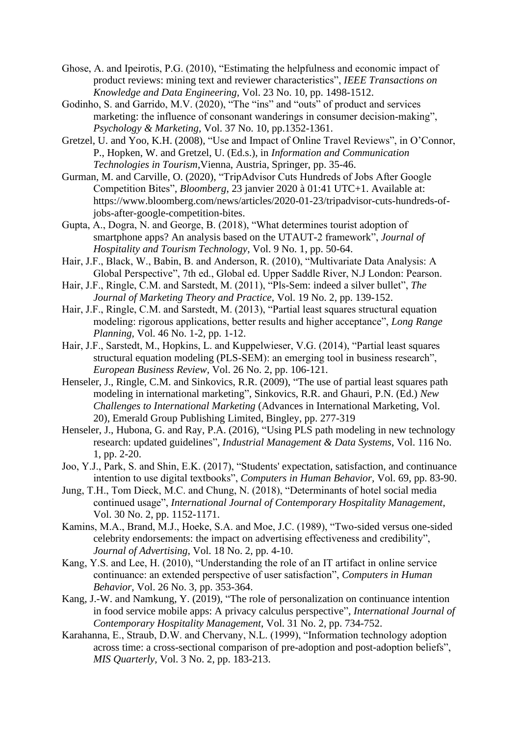- Ghose, A. and Ipeirotis, P.G. (2010), "Estimating the helpfulness and economic impact of product reviews: mining text and reviewer characteristics", *IEEE Transactions on Knowledge and Data Engineering,* Vol. 23 No. 10, pp. 1498-1512.
- Godinho, S. and Garrido, M.V. (2020), "The "ins" and "outs" of product and services marketing: the influence of consonant wanderings in consumer decision-making", *Psychology & Marketing,* Vol. 37 No. 10, pp.1352-1361.
- Gretzel, U. and Yoo, K.H. (2008), "Use and Impact of Online Travel Reviews", in O'Connor, P., Hopken, W. and Gretzel, U. (Ed.s.), in *Information and Communication Technologies in Tourism*,Vienna, Austria, Springer, pp. 35-46.
- Gurman, M. and Carville, O. (2020), "TripAdvisor Cuts Hundreds of Jobs After Google Competition Bites", *Bloomberg*, 23 janvier 2020 à 01:41 UTC+1. Available at: https://www.bloomberg.com/news/articles/2020-01-23/tripadvisor-cuts-hundreds-ofjobs-after-google-competition-bites.
- Gupta, A., Dogra, N. and George, B. (2018), "What determines tourist adoption of smartphone apps? An analysis based on the UTAUT-2 framework", *Journal of Hospitality and Tourism Technology*, Vol. 9 No. 1, pp. 50-64.
- Hair, J.F., Black, W., Babin, B. and Anderson, R. (2010), "Multivariate Data Analysis: A Global Perspective", 7th ed., Global ed. Upper Saddle River, N.J London: Pearson.
- Hair, J.F., Ringle, C.M. and Sarstedt, M. (2011), "Pls-Sem: indeed a silver bullet", *The Journal of Marketing Theory and Practice*, Vol. 19 No. 2, pp. 139-152.
- Hair, J.F., Ringle, C.M. and Sarstedt, M. (2013), "Partial least squares structural equation modeling: rigorous applications, better results and higher acceptance", *Long Range Planning,* Vol. 46 No. 1-2, pp. 1-12.
- Hair, J.F., Sarstedt, M., Hopkins, L. and Kuppelwieser, V.G. (2014), "Partial least squares structural equation modeling (PLS-SEM): an emerging tool in business research", *European Business Review,* Vol. 26 No. 2, pp. 106-121.
- Henseler, J., Ringle, C.M. and Sinkovics, R.R. (2009), "The use of partial least squares path modeling in international marketing", Sinkovics, R.R. and Ghauri, P.N. (Ed.) *New Challenges to International Marketing* (Advances in International Marketing, Vol. 20), Emerald Group Publishing Limited, Bingley, pp. 277-319
- Henseler, J., Hubona, G. and Ray, P.A. (2016), "Using PLS path modeling in new technology research: updated guidelines", *Industrial Management & Data Systems*, Vol. 116 No. 1, pp. 2-20.
- Joo, Y.J., Park, S. and Shin, E.K. (2017), "Students' expectation, satisfaction, and continuance intention to use digital textbooks", *Computers in Human Behavior,* Vol. 69, pp. 83-90.
- Jung, T.H., Tom Dieck, M.C. and Chung, N. (2018), "Determinants of hotel social media continued usage", *International Journal of Contemporary Hospitality Management*, Vol. 30 No. 2, pp. 1152-1171.
- Kamins, M.A., Brand, M.J., Hoeke, S.A. and Moe, J.C. (1989), "Two-sided versus one-sided celebrity endorsements: the impact on advertising effectiveness and credibility", *Journal of Advertising*, Vol. 18 No. 2, pp. 4-10.
- Kang, Y.S. and Lee, H. (2010), "Understanding the role of an IT artifact in online service continuance: an extended perspective of user satisfaction", *Computers in Human Behavior,* Vol. 26 No. 3, pp. 353-364.
- Kang, J.-W. and Namkung, Y. (2019), "The role of personalization on continuance intention in food service mobile apps: A privacy calculus perspective", *International Journal of Contemporary Hospitality Management*, Vol. 31 No. 2, pp. 734-752.
- Karahanna, E., Straub, D.W. and Chervany, N.L. (1999), "Information technology adoption across time: a cross-sectional comparison of pre-adoption and post-adoption beliefs", *MIS Quarterly,* Vol. 3 No. 2, pp. 183-213.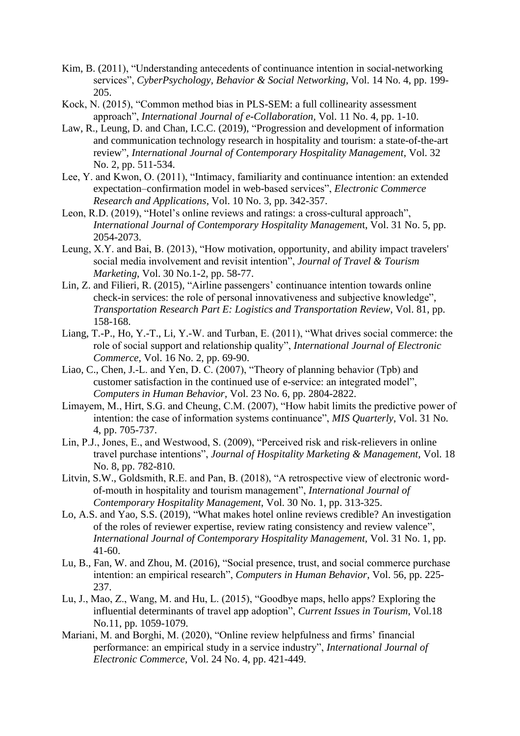- <span id="page-27-1"></span>Kim, B. (2011), "Understanding antecedents of continuance intention in social-networking services", *CyberPsychology, Behavior & Social Networking*, Vol. 14 No. 4, pp. 199- 205.
- Kock, N. (2015), "Common method bias in PLS-SEM: a full collinearity assessment approach", *International Journal of e-Collaboration,* Vol. 11 No. 4, pp. 1-10.
- Law, R., Leung, D. and Chan, I.C.C. (2019), "Progression and development of information and communication technology research in hospitality and tourism: a state-of-the-art review", *International Journal of Contemporary Hospitality Management*, Vol. 32 No. 2, pp. 511-534.
- Lee, Y. and Kwon, O. (2011), "Intimacy, familiarity and continuance intention: an extended expectation–confirmation model in web-based services", *Electronic Commerce Research and Applications*, Vol. 10 No. 3, pp. 342-357.
- Leon, R.D. (2019), "Hotel's online reviews and ratings: a cross-cultural approach", *International Journal of Contemporary Hospitality Managemen*t, Vol. 31 No. 5, pp. 2054-2073.
- Leung, X.Y. and Bai, B. (2013), "How motivation, opportunity, and ability impact travelers' social media involvement and revisit intention", *Journal of Travel & Tourism Marketing*, Vol. 30 No.1-2, pp. 58-77.
- Lin, Z. and Filieri, R. (2015), "Airline passengers' continuance intention towards online check-in services: the role of personal innovativeness and subjective knowledge", *Transportation Research Part E: Logistics and Transportation Review*, Vol. 81, pp. 158-168.
- Liang, T.-P., Ho, Y.-T., Li, Y.-W. and Turban, E. (2011), "What drives social commerce: the role of social support and relationship quality", *International Journal of Electronic Commerce*, Vol. 16 No. 2, pp. 69-90.
- Liao, C., Chen, J.-L. and Yen, D. C. (2007), "Theory of planning behavior (Tpb) and customer satisfaction in the continued use of e-service: an integrated model", *Computers in Human Behavior*, Vol. 23 No. 6, pp. 2804-2822.
- <span id="page-27-0"></span>Limayem, M., Hirt, S.G. and Cheung, C.M. (2007), "How habit limits the predictive power of intention: the case of information systems continuance", *MIS Quarterly*, Vol. 31 No. 4, pp. 705-737.
- Lin, P.J., Jones, E., and Westwood, S. (2009), "Perceived risk and risk-relievers in online travel purchase intentions", *Journal of Hospitality Marketing & Management,* Vol. 18 No. 8, pp. 782-810.
- Litvin, S.W., Goldsmith, R.E. and Pan, B. (2018), "A retrospective view of electronic wordof-mouth in hospitality and tourism management", *International Journal of Contemporary Hospitality Management*, Vol. 30 No. 1, pp. 313-325.
- Lo, A.S. and Yao, S.S. (2019), "What makes hotel online reviews credible? An investigation of the roles of reviewer expertise, review rating consistency and review valence", *International Journal of Contemporary Hospitality Management,* Vol. 31 No. 1, pp. 41-60.
- Lu, B., Fan, W. and Zhou, M. (2016), "Social presence, trust, and social commerce purchase intention: an empirical research", *Computers in Human Behavior*, Vol. 56, pp. 225- 237.
- Lu, J., Mao, Z., Wang, M. and Hu, L. (2015), "Goodbye maps, hello apps? Exploring the influential determinants of travel app adoption", *Current Issues in Tourism*, Vol.18 No.11, pp. 1059-1079.
- Mariani, M. and Borghi, M. (2020), "Online review helpfulness and firms' financial performance: an empirical study in a service industry", *International Journal of Electronic Commerce*, Vol. 24 No. 4, pp. 421-449.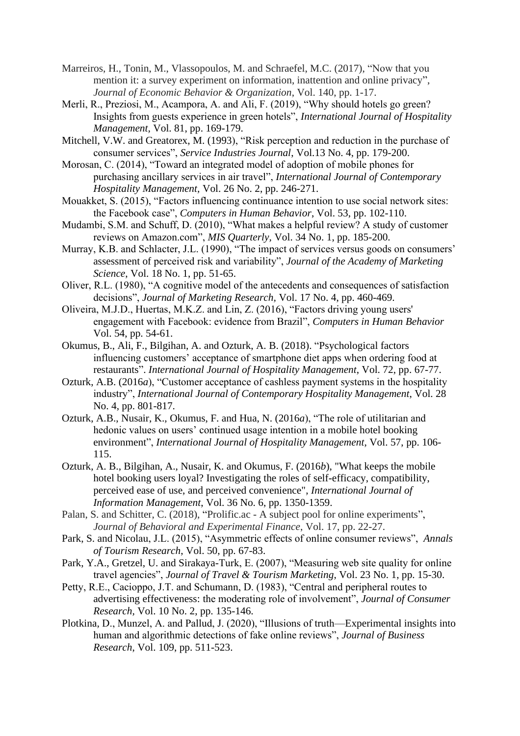- Marreiros, H., Tonin, M., Vlassopoulos, M. and Schraefel, M.C. (2017), "Now that you mention it: a survey experiment on information, inattention and online privacy", *Journal of Economic Behavior & Organization*, Vol. 140, pp. 1-17.
- Merli, R., Preziosi, M., Acampora, A. and Ali, F. (2019), "Why should hotels go green? Insights from guests experience in green hotels", *International Journal of Hospitality Management,* Vol. 81, pp. 169-179.
- Mitchell, V.W. and Greatorex, M. (1993), "Risk perception and reduction in the purchase of consumer services", *Service Industries Journal*, Vol.13 No. 4, pp. 179-200.
- Morosan, C. (2014), "Toward an integrated model of adoption of mobile phones for purchasing ancillary services in air travel", *International Journal of Contemporary Hospitality Management,* Vol. 26 No. 2, pp. 246-271.
- <span id="page-28-0"></span>Mouakket, S. (2015), "Factors influencing continuance intention to use social network sites: the Facebook case", *Computers in Human Behavior*, Vol. 53, pp. 102-110.
- Mudambi, S.M. and Schuff, D. (2010), "What makes a helpful review? A study of customer reviews on Amazon.com", *MIS Quarterly,* Vol. 34 No. 1, pp. 185-200.
- Murray, K.B. and Schlacter, J.L. (1990), "The impact of services versus goods on consumers' assessment of perceived risk and variability", *Journal of the Academy of Marketing Science*, Vol. 18 No. 1, pp. 51-65.
- Oliver, R.L. (1980), "A cognitive model of the antecedents and consequences of satisfaction decisions", *Journal of Marketing Research,* Vol. 17 No. 4, pp. 460-469.
- Oliveira, M.J.D., Huertas, M.K.Z. and Lin, Z. (2016), "Factors driving young users' engagement with Facebook: evidence from Brazil", *Computers in Human Behavior* Vol. 54, pp. 54-61.
- Okumus, B., Ali, F., Bilgihan, A. and Ozturk, A. B. (2018). "Psychological factors influencing customers' acceptance of smartphone diet apps when ordering food at restaurants". *International Journal of Hospitality Management*, Vol. 72, pp. 67-77.
- [Ozturk, A.B.](https://www.emerald.com/insight/search?q=Ahmet%20Bulent%20Ozturk) (2016*a*), "Customer acceptance of cashless payment systems in the hospitality industry", *[International Journal of Contemporary Hospitality Management](https://www.emerald.com/insight/publication/issn/0959-6119)*, Vol. 28 No. 4, pp. 801-817.
- Ozturk, A.B., Nusair, K., Okumus, F. and Hua, N. (2016*a*), "The role of utilitarian and hedonic values on users' continued usage intention in a mobile hotel booking environment", *International Journal of Hospitality Management*, Vol. 57, pp. 106- 115.
- Ozturk, A. B., Bilgihan, A., Nusair, K. and Okumus, F. (2016*b*), "What keeps the mobile hotel booking users loyal? Investigating the roles of self-efficacy, compatibility, perceived ease of use, and perceived convenience", *International Journal of Information Management*, Vol. 36 No. 6, pp. 1350-1359.
- Palan, S. and Schitter, C. (2018), "Prolific.ac A subject pool for online experiments", *Journal of Behavioral and Experimental Finance*, Vol. 17, pp. 22-27.
- Park, S. and Nicolau, J.L. (2015), "Asymmetric effects of online consumer reviews", *Annals of Tourism Research*, Vol. 50, pp. 67-83.
- Park, Y.A., Gretzel, U. and Sirakaya-Turk, E. (2007), "Measuring web site quality for online travel agencies", *Journal of Travel & Tourism Marketing*, Vol. 23 No. 1, pp. 15-30.
- Petty, R.E., Cacioppo, J.T. and Schumann, D. (1983), "Central and peripheral routes to advertising effectiveness: the moderating role of involvement", *Journal of Consumer Research,* Vol. 10 No. 2, pp. 135-146.
- Plotkina, D., Munzel, A. and Pallud, J. (2020), "Illusions of truth—Experimental insights into human and algorithmic detections of fake online reviews", *Journal of Business Research*, Vol. 109, pp. 511-523.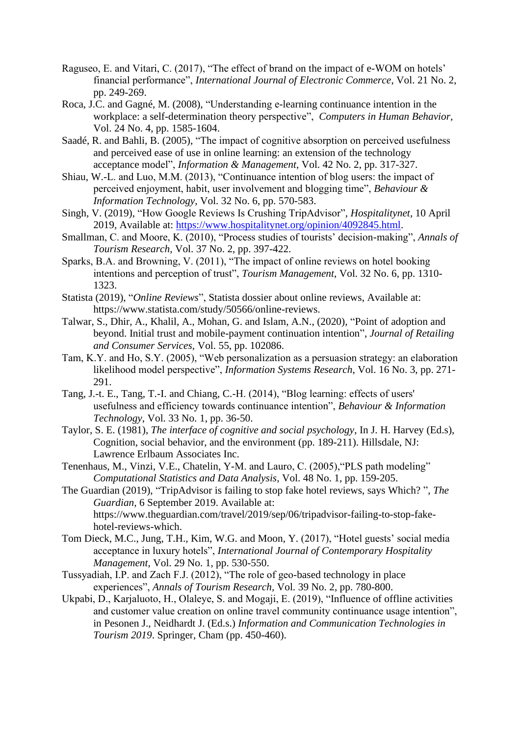- Raguseo, E. and Vitari, C. (2017), "The effect of brand on the impact of e-WOM on hotels' financial performance", *International Journal of Electronic Commerce*, Vol. 21 No. 2, pp. 249-269.
- Roca, J.C. and Gagné, M. (2008), "Understanding e-learning continuance intention in the workplace: a self-determination theory perspective", *Computers in Human Behavior,* Vol. 24 No. 4, pp. 1585-1604.
- Saadé, R. and Bahli, B. (2005), "The impact of cognitive absorption on perceived usefulness and perceived ease of use in online learning: an extension of the technology acceptance model", *Information & Management*, Vol. 42 No. 2, pp. 317-327.
- <span id="page-29-0"></span>Shiau, W.-L. and Luo, M.M. (2013), "Continuance intention of blog users: the impact of perceived enjoyment, habit, user involvement and blogging time", *Behaviour & Information Technology*, Vol. 32 No. 6, pp. 570-583.
- Singh, V. (2019), "How Google Reviews Is Crushing TripAdvisor", *Hospitalitynet*, 10 April 2019, Available at: [https://www.hospitalitynet.org/opinion/4092845.html.](https://www.hospitalitynet.org/opinion/4092845.html)
- Smallman, C. and Moore, K. (2010), "Process studies of tourists' decision-making", *Annals of Tourism Research*, Vol. 37 No. 2, pp. 397-422.
- Sparks, B.A. and Browning, V. (2011), "The impact of online reviews on hotel booking intentions and perception of trust", *Tourism Management*, Vol. 32 No. 6, pp. 1310- 1323.
- Statista (2019), "*Online Reviews*", Statista dossier about online reviews, Available at: https://www.statista.com/study/50566/online-reviews.
- Talwar, S., Dhir, A., Khalil, A., Mohan, G. and Islam, A.N., (2020), "Point of adoption and beyond. Initial trust and mobile-payment continuation intention", *Journal of Retailing and Consumer Services*, Vol. 55, pp. 102086.
- Tam, K.Y. and Ho, S.Y. (2005), "Web personalization as a persuasion strategy: an elaboration likelihood model perspective", *Information Systems Research*, Vol. 16 No. 3, pp. 271- 291.
- <span id="page-29-1"></span>Tang, J.-t. E., Tang, T.-I. and Chiang, C.-H. (2014), "Blog learning: effects of users' usefulness and efficiency towards continuance intention", *Behaviour & Information Technology*, Vol. 33 No. 1, pp. 36-50.
- Taylor, S. E. (1981), *The interface of cognitive and social psychology*, In J. H. Harvey (Ed.s), Cognition, social behavior, and the environment (pp. 189-211). Hillsdale, NJ: Lawrence Erlbaum Associates Inc.
- Tenenhaus, M., Vinzi, V.E., Chatelin, Y-M. and Lauro, C. (2005),"PLS path modeling" *Computational Statistics and Data Analysis,* Vol. 48 No. 1, pp. 159-205.
- The Guardian (2019), "TripAdvisor is failing to stop fake hotel reviews, says Which? ", *The Guardian,* 6 September 2019. Available at: https://www.theguardian.com/travel/2019/sep/06/tripadvisor-failing-to-stop-fakehotel-reviews-which.
- [Tom Dieck, M.C.,](https://www.emerald.com/insight/search?q=M.%20Claudia%20tom%20Dieck) [Jung, T.H.,](https://www.emerald.com/insight/search?q=Timothy%20Hyungsoo%20Jung) [Kim, W.G.](https://www.emerald.com/insight/search?q=Woo%20Gon%20Kim) and [Moon, Y.](https://www.emerald.com/insight/search?q=Yunji%20Moon) (2017), "Hotel guests' social media acceptance in luxury hotels", *[International Journal of Contemporary Hospitality](https://www.emerald.com/insight/publication/issn/0959-6119)  [Management](https://www.emerald.com/insight/publication/issn/0959-6119)*, Vol. 29 No. 1, pp. 530-550.
- Tussyadiah, I.P. and Zach F.J. (2012), "The role of geo-based technology in place experiences", *Annals of Tourism Research,* Vol. 39 No. 2, pp. 780-800.
- Ukpabi, D., Karjaluoto, H., Olaleye, S. and Mogaji, E. (2019), "Influence of offline activities and customer value creation on online travel community continuance usage intention", in Pesonen J., Neidhardt J. (Ed.s.) *Information and Communication Technologies in Tourism 2019*. Springer, Cham (pp. 450-460).